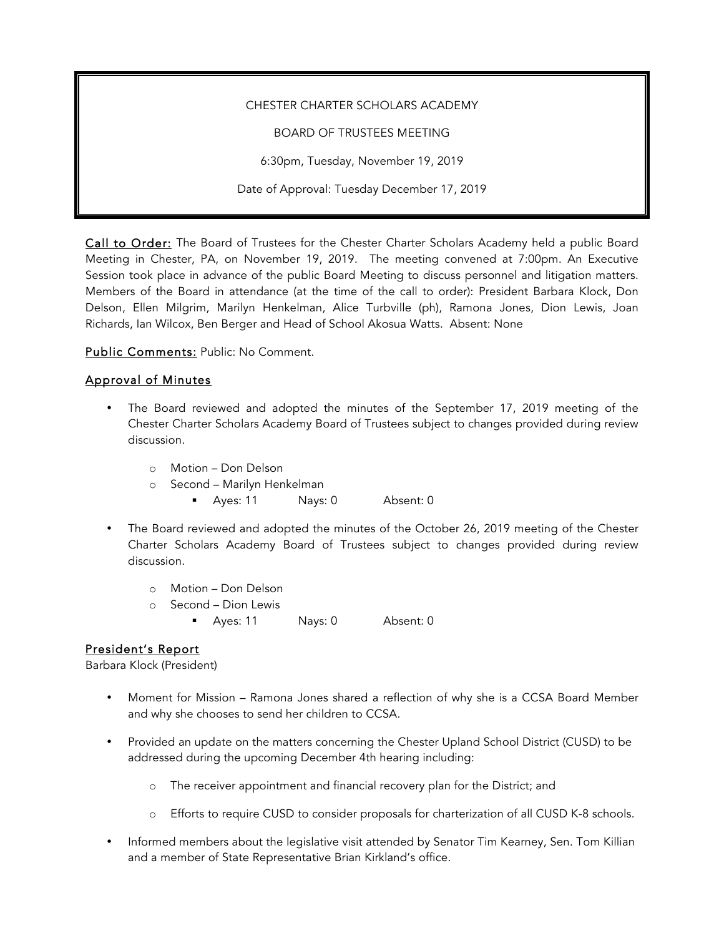#### CHESTER CHARTER SCHOLARS ACADEMY

BOARD OF TRUSTEES MEETING

6:30pm, Tuesday, November 19, 2019

Date of Approval: Tuesday December 17, 2019

Call to Order: The Board of Trustees for the Chester Charter Scholars Academy held a public Board Meeting in Chester, PA, on November 19, 2019. The meeting convened at 7:00pm. An Executive Session took place in advance of the public Board Meeting to discuss personnel and litigation matters. Members of the Board in attendance (at the time of the call to order): President Barbara Klock, Don Delson, Ellen Milgrim, Marilyn Henkelman, Alice Turbville (ph), Ramona Jones, Dion Lewis, Joan Richards, Ian Wilcox, Ben Berger and Head of School Akosua Watts. Absent: None

Public Comments: Public: No Comment.

### Approval of Minutes

- The Board reviewed and adopted the minutes of the September 17, 2019 meeting of the Chester Charter Scholars Academy Board of Trustees subject to changes provided during review discussion.
	- o Motion Don Delson
	- o Second Marilyn Henkelman
		- Ayes: 11 Nays: 0 Absent: 0
- The Board reviewed and adopted the minutes of the October 26, 2019 meeting of the Chester Charter Scholars Academy Board of Trustees subject to changes provided during review discussion.
	- o Motion Don Delson
	- o Second Dion Lewis
		- Ayes: 11 Nays: 0 Absent: 0

# President's Report

Barbara Klock (President)

- Moment for Mission Ramona Jones shared a reflection of why she is a CCSA Board Member and why she chooses to send her children to CCSA.
- Provided an update on the matters concerning the Chester Upland School District (CUSD) to be addressed during the upcoming December 4th hearing including:
	- o The receiver appointment and financial recovery plan for the District; and
	- o Efforts to require CUSD to consider proposals for charterization of all CUSD K-8 schools.
- Informed members about the legislative visit attended by Senator Tim Kearney, Sen. Tom Killian and a member of State Representative Brian Kirkland's office.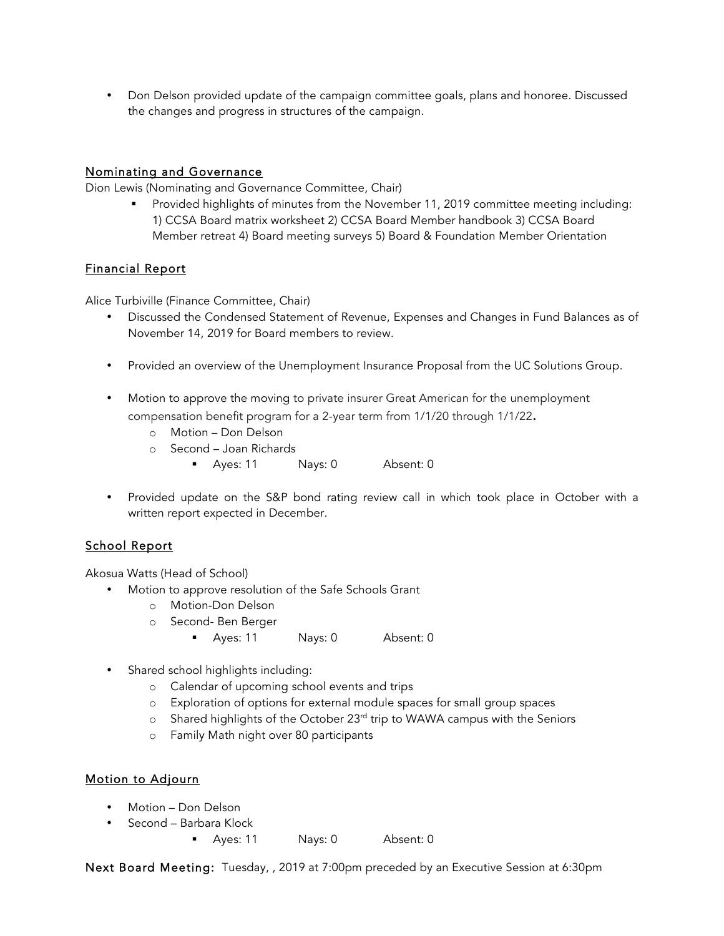• Don Delson provided update of the campaign committee goals, plans and honoree. Discussed the changes and progress in structures of the campaign.

## Nominating and Governance

Dion Lewis (Nominating and Governance Committee, Chair)

**•** Provided highlights of minutes from the November 11, 2019 committee meeting including: 1) CCSA Board matrix worksheet 2) CCSA Board Member handbook 3) CCSA Board Member retreat 4) Board meeting surveys 5) Board & Foundation Member Orientation

# Financial Report

Alice Turbiville (Finance Committee, Chair)

- Discussed the Condensed Statement of Revenue, Expenses and Changes in Fund Balances as of November 14, 2019 for Board members to review.
- Provided an overview of the Unemployment Insurance Proposal from the UC Solutions Group.
- Motion to approve the moving to private insurer Great American for the unemployment compensation benefit program for a 2-year term from 1/1/20 through 1/1/22.
	- o Motion Don Delson
	- o Second Joan Richards
		- Ayes: 11 Nays: 0 Absent: 0
- Provided update on the S&P bond rating review call in which took place in October with a written report expected in December.

# School Report

Akosua Watts (Head of School)

- Motion to approve resolution of the Safe Schools Grant
	- o Motion-Don Delson
	- o Second- Ben Berger
		- Ayes: 11 Nays: 0 Absent: 0
- Shared school highlights including:
	- o Calendar of upcoming school events and trips
	- o Exploration of options for external module spaces for small group spaces
	- o Shared highlights of the October 23<sup>rd</sup> trip to WAWA campus with the Seniors
	- o Family Math night over 80 participants

# Motion to Adjourn

- Motion Don Delson
- Second Barbara Klock
	- Ayes: 11 Nays: 0 Absent: 0

Next Board Meeting: Tuesday, , 2019 at 7:00pm preceded by an Executive Session at 6:30pm